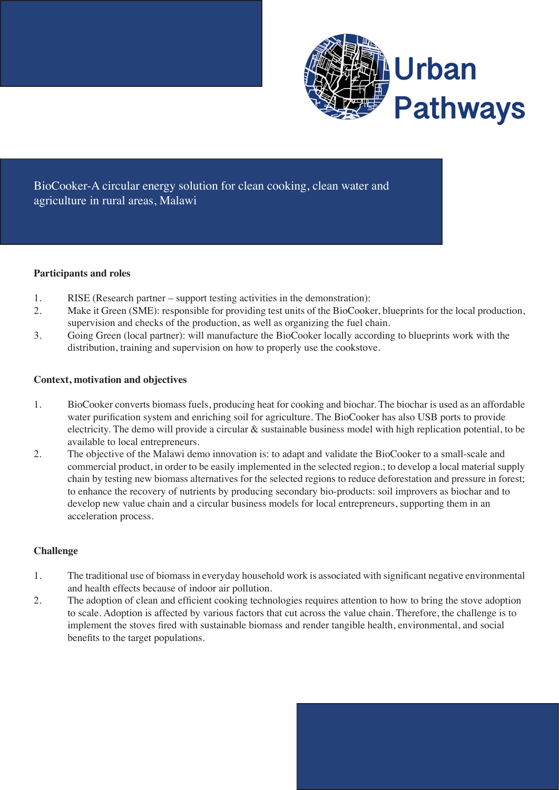

BioCooker-A circular energy solution for clean cooking, clean water and agriculture in rural areas, Malawi

### **Participants and roles**

- 1. RISE (Research partner support testing activities in the demonstration):
- 2. Make it Green (SME): responsible for providing test units of the BioCooker, blueprints for the local production, supervision and checks of the production, as well as organizing the fuel chain.
- 3. Going Green (local partner): will manufacture the BioCooker locally according to blueprints work with the distribution, training and supervision on how to properly use the cookstove.

# **Context, motivation and objectives**

- 1. BioCooker converts biomass fuels, producing heat for cooking and biochar. The biochar is used as an affordable water purification system and enriching soil for agriculture. The BioCooker has also USB ports to provide electricity. The demo will provide a circular & sustainable business model with high replication potential, to be available to local entrepreneurs.
- 2. The objective of the Malawi demo innovation is: to adapt and validate the BioCooker to a small-scale and commercial product, in order to be easily implemented in the selected region.; to develop a local material supply chain by testing new biomass alternatives for the selected regions to reduce deforestation and pressure in forest; to enhance the recovery of nutrients by producing secondary bio-products: soil improvers as biochar and to develop new value chain and a circular business models for local entrepreneurs, supporting them in an acceleration process.

# **Challenge**

- 1. The traditional use of biomassin everyday household work is associated with significant negative environmental and health effects because of indoor air pollution.
- 2. The adoption of clean and efficient cooking technologies requires attention to how to bring the stove adoption to scale. Adoption is affected by various factors that cut across the value chain. Therefore, the challenge is to implement the stoves fired with sustainable biomass and render tangible health, environmental, and social benefits to the target populations.